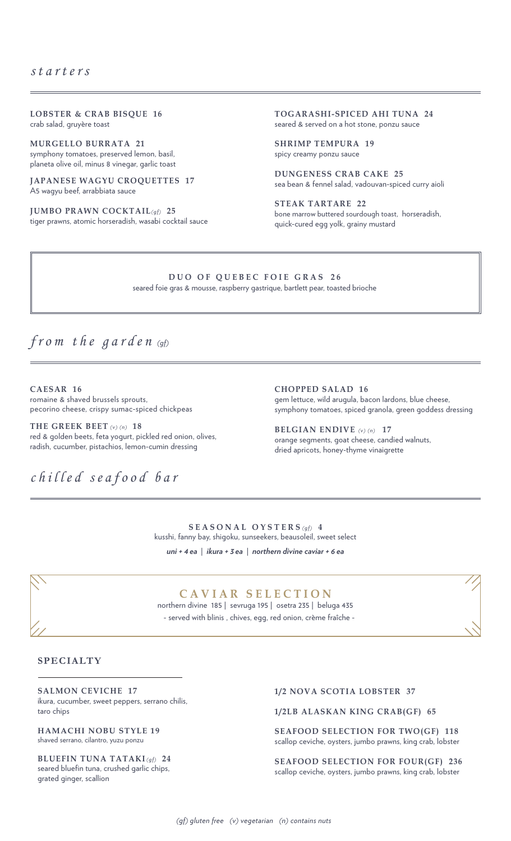**LOBSTER & CRAB BISQUE 16** crab salad, gruyère toast

**MURGELLO BURRATA 21** symphony tomatoes, preserved lemon, basil, planeta olive oil, minus 8 vinegar, garlic toast

**JAPANESE WAGYU CROQUETTES 17** A5 wagyu beef, arrabbiata sauce

**JUMBO PRAWN COCKTAIL***(gf)* **25** tiger prawns, atomic horseradish, wasabi cocktail sauce **TOGARASHI-SPICED AHI TUNA 24** seared & served on a hot stone, ponzu sauce

**SHRIMP TEMPURA 19** spicy creamy ponzu sauce

**DUNGENESS CRAB CAKE 25** sea bean & fennel salad, vadouvan-spiced curry aioli

**STEAK TARTARE 22** bone marrow buttered sourdough toast, horseradish, quick-cured egg yolk, grainy mustard

#### **DUO OF QUEBEC FOIE GRAS 26**

seared foie gras & mousse, raspberry gastrique, bartlett pear, toasted brioche

## *from the garden (gf)*

**CAESAR 16**  romaine & shaved brussels sprouts, pecorino cheese, crispy sumac-spiced chickpeas

**THE GREEK BEET** *(v) (n)* **18** red & golden beets, feta yogurt, pickled red onion, olives, radish, cucumber, pistachios, lemon-cumin dressing

*chilled seafood bar*

**CHOPPED SALAD 16** gem lettuce, wild arugula, bacon lardons, blue cheese, symphony tomatoes, spiced granola, green goddess dressing

**BELGIAN ENDIVE** *(v) (n)* **17** orange segments, goat cheese, candied walnuts, dried apricots, honey-thyme vinaigrette

**SEASONAL OYSTERS** *(gf)* **4** kusshi, fanny bay, shigoku, sunseekers, beausoleil, sweet select *uni + 4 ea* | *ikura + 3 ea* | *northern divine caviar + 6 ea*



### **CAVIAR SELECTION**

northern divine 185 | sevruga 195 | osetra 235 | beluga 435 - served with blinis , chives, egg, red onion, crème fraîche -

#### **SPECIALTY**

**SALMON CEVICHE 17** ikura, cucumber, sweet peppers, serrano chilis, taro chips

**HAMACHI NOBU STYLE 19** shaved serrano, cilantro, yuzu ponzu

**BLUEFIN TUNA TATAKI***(gf)* **24** seared bluefin tuna, crushed garlic chips, grated ginger, scallion

#### **1/2 NOVA SCOTIA LOBSTER 37**

**1/2LB ALASKAN KING CRAB(GF) 65**

**SEAFOOD SELECTION FOR TWO(GF) 118** scallop ceviche, oysters, jumbo prawns, king crab, lobster

**SEAFOOD SELECTION FOR FOUR(GF) 236**  scallop ceviche, oysters, jumbo prawns, king crab, lobster